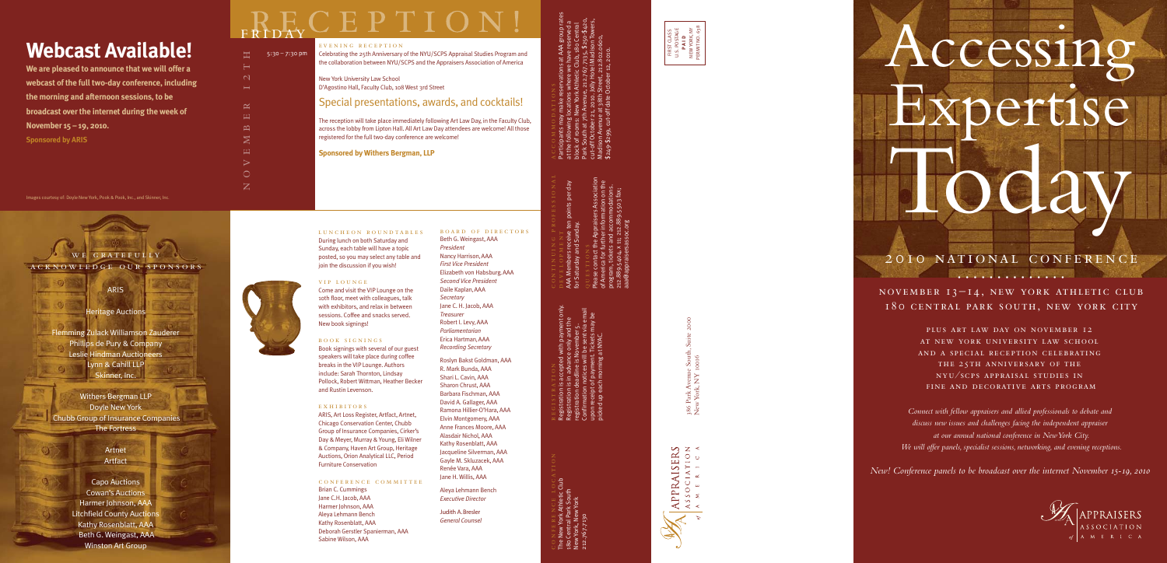### 20IO NATIONAL CONFERENCE • • • • • • • • • • • • • •

Today

ccessin

oertise

NOVEMBER 13-14, NEW YORK ATHLETIC CLUB 180 CENTRAL PARK SOUTH, NEW YORK CITY

> PLUS ART LAW DAY ON NOVEMBER 12 AT NEW YORK UNIVERSITY LAW SCHOOL AND A SPECIAL RECEPTION CELEBRATING THE 25TH ANNIVERSARY OF THE NYU/SCPS APPRAISAL STUDIES IN FINE AND DECORATIVE ARTS PROGRAM

*Connect with fellow appraisers and allied professionals to debate and discuss new issues and challenges facing the independent appraiser at our annual national conference in New York City. We will offer panels, specialist sessions, networking, and evening receptions.*

*New! Conference panels to be broadcast over the internet November 15-19, 2010* 

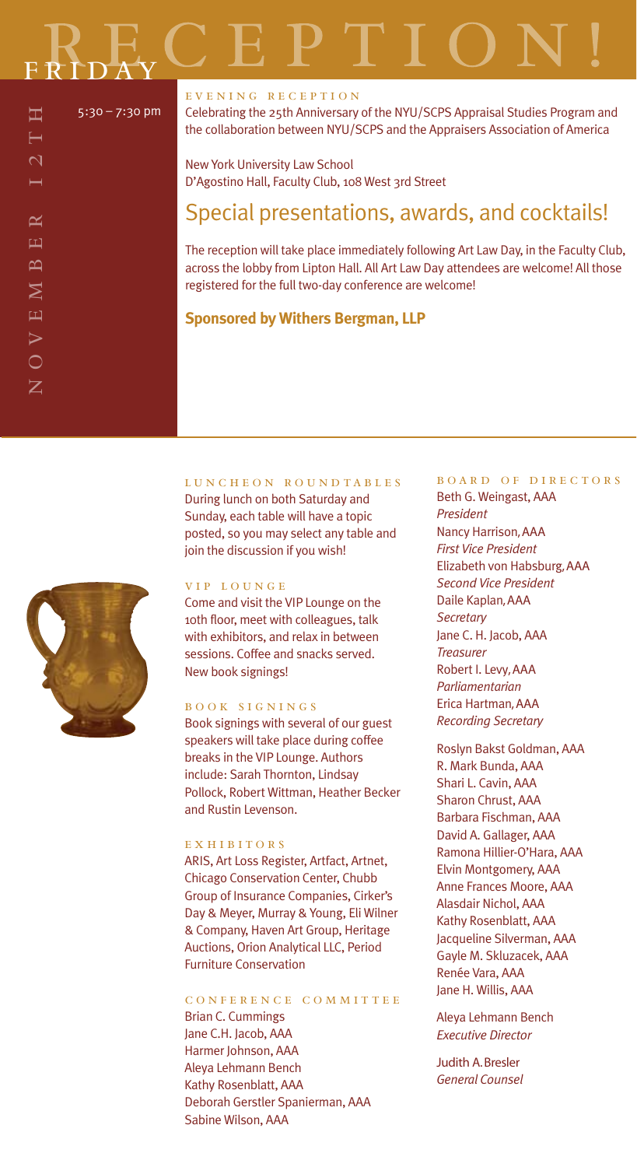┕  $\mathbf{\sim}$ 

 $\approx$  $\Box$  $\overline{\mathbf{c}}$  $\boldsymbol{\Sigma}$  $\overline{\mathbf{u}}$  $\triangleright$  $\bigcirc$  $\mathbf Z$ 

#### EVENING RECEPTION

Celebrating the 25th Anniversary of the NYU/SCPS Appraisal Studies Program and the collaboration between NYU/SCPS and the Appraisers Association of America

New York University Law School D'Agostino Hall, Faculty Club, 108 West 3rd Street

#### Special presentations, awards, and cocktails!

The reception will take place immediately following Art Law Day, in the Faculty Club, across the lobby from Lipton Hall. All Art Law Day attendees are welcome! All those registered for the full two-day conference are welcome!

#### **Sponsored by Withers Bergman, LLP**

LUNCHEON ROUNDTABLES

During lunch on both Saturday and Sunday, each table will have a topic posted, so you may select any table and join the discussion if you wish!

#### VIP LOUNGE

Come and visit the VIP Lounge on the 10th floor, meet with colleagues, talk with exhibitors, and relax in between sessions. Coffee and snacks served. New book signings!

#### BOOK SIGNINGS

Book signings with several of our guest speakers will take place during coffee breaks in the VIP Lounge. Authors include: Sarah Thornton, Lindsay Pollock, Robert Wittman, Heather Becker and Rustin Levenson.

#### EXHIBITORS

ARIS, Art Loss Register, Artfact, Artnet, Chicago Conservation Center, Chubb Group of Insurance Companies, Cirker's Day & Meyer, Murray & Young, Eli Wilner & Company, Haven Art Group, Heritage Auctions, Orion Analytical LLC, Period Furniture Conservation

#### CONFERENCE COMMITTEE

Brian C. Cummings Jane C.H. Jacob, AAA Harmer Johnson, AAA Aleya Lehmann Bench Kathy Rosenblatt, AAA Deborah Gerstler Spanierman, AAA Sabine Wilson, AAA

#### **BOARD OF DIRECTORS**

Beth G. Weingast, AAA *President* Nancy Harrison, AAA *First Vice President* Elizabeth von Habsburg, AAA *Second Vice President* Daile Kaplan, AAA *Secretary* Jane C. H. Jacob, AAA *Treasurer* Robert I. Levy, AAA *Parliamentarian* Erica Hartman, AAA *Recording Secretary*

Roslyn Bakst Goldman, AAA R. Mark Bunda, AAA Shari L. Cavin, AAA Sharon Chrust, AAA Barbara Fischman, AAA David A. Gallager, AAA Ramona Hillier-O'Hara, AAA Elvin Montgomery, AAA Anne Frances Moore, AAA Alasdair Nichol, AAA Kathy Rosenblatt, AAA Jacqueline Silverman, AAA Gayle M. Skluzacek, AAA Renée Vara, AAA Jane H. Willis, AAA

Aleya Lehmann Bench *Executive Director*

Judith A. Bresler *General Counsel*

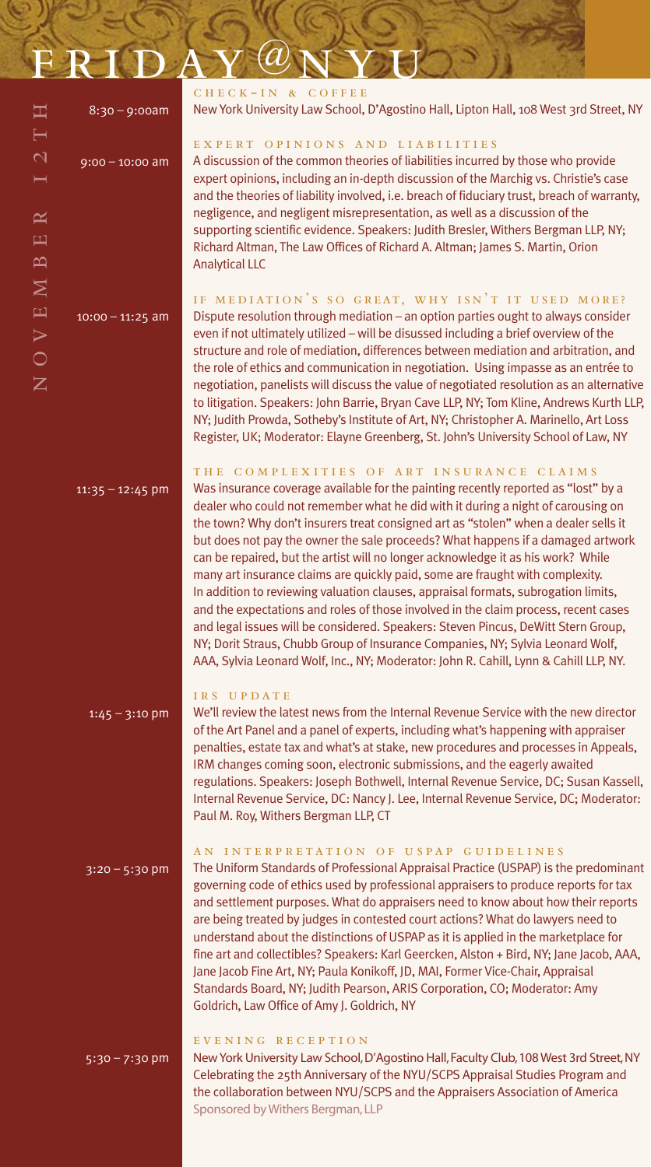| FRIDAY@NYU                                                     |  |
|----------------------------------------------------------------|--|
| $C\Pi$ $D\Pi$ $D\Pi$ $D\Pi$ $D\Pi$ $D\Pi$ $D\Pi$ $D\Pi$ $D\Pi$ |  |

NOVEMBER 12TH

 $\approx$  $\Box$  $\mathbf{\Omega}$  $\overline{\mathsf{M}}$  $\overline{\mathbf{H}}$  $\triangleright$  $\overline{\bigcirc}$  $\overline{Z}$ 

工

 $\mathsf{N}$ 

| $8:30 - 9:00am$             | $CHECK-IN 8$<br><b>New York Universit</b>                                                                                                                                                                                                                            |
|-----------------------------|----------------------------------------------------------------------------------------------------------------------------------------------------------------------------------------------------------------------------------------------------------------------|
| $9:00 - 10:00$ am           | EXPERT OPI<br>A discussion of the<br>expert opinions, in<br>and the theories of<br>negligence, and ne<br>supporting scientif<br>Richard Altman, Th<br><b>Analytical LLC</b>                                                                                          |
| $10:00 - 11:25$ am          | IF MEDIATIO<br>Dispute resolution<br>even if not ultimate<br>structure and role o<br>the role of ethics ar<br>negotiation, paneli<br>to litigation. Speak<br>NY; Judith Prowda,<br>Register, UK; Mode                                                                |
| $11:35 - 12:45$ pm          | THE COMPLI<br>Was insurance cove<br>dealer who could n<br>the town? Why don<br>but does not pay th<br>can be repaired, bu<br>many art insurance<br>In addition to revie<br>and the expectation<br>and legal issues wi<br>NY; Dorit Straus, Ch<br>AAA, Sylvia Leonard |
| $1:45 - 3:10$ pm            | IRS UPDATE<br>We'll review the lat<br>of the Art Panel and<br>penalties, estate ta<br>IRM changes comin<br>regulations. Speak<br>Internal Revenue S<br>Paul M. Roy, Wither                                                                                           |
| $3:20 - 5:30$ pm            | AN INTERPR<br>The Uniform Standa<br>governing code of<br>and settlement pur<br>are being treated b<br>understand about t<br>fine art and collecti<br>Jane Jacob Fine Art,<br>Standards Board, M<br>Goldrich, Law Offic                                               |
| $\overline{5:30} - 7:30$ pm | EVENING<br>R E<br><b>New York University</b><br>Celebrating the 25t<br>the collaboration b                                                                                                                                                                           |

#### COFFEE sity Law School, D'Agostino Hall, Lipton Hall, 108 West 3rd Street, NY INIONS AND LIABILITIES he common theories of liabilities incurred by those who provide including an in-depth discussion of the Marchig vs. Christie's case of liability involved, i.e. breach of fiduciary trust, breach of warranty, negligent misrepresentation, as well as a discussion of the tific evidence. Speakers: Judith Bresler, Withers Bergman LLP, NY; The Law Offices of Richard A. Altman; James S. Martin, Orion

#### ON'S SO GREAT, WHY ISN'T IT USED MORE?

on through mediation – an option parties ought to always consider ately utilized – will be disussed including a brief overview of the e of mediation, differences between mediation and arbitration, and and communication in negotiation. Using impasse as an entrée to elists will discuss the value of negotiated resolution as an alternative akers: John Barrie, Bryan Cave LLP, NY; Tom Kline, Andrews Kurth LLP, a, Sotheby's Institute of Art, NY; Christopher A. Marinello, Art Loss derator: Elayne Greenberg, St. John's University School of Law, NY

#### LEXITIES OF ART INSURANCE CLAIMS

overage available for the painting recently reported as "lost" by a dealer not remember what he did with it during a night of carousing on on't insurers treat consigned art as "stolen" when a dealer sells it the owner the sale proceeds? What happens if a damaged artwork but the artist will no longer acknowledge it as his work? While ice claims are quickly paid, some are fraught with complexity. riewing valuation clauses, appraisal formats, subrogation limits, ions and roles of those involved in the claim process, recent cases will be considered. Speakers: Steven Pincus, DeWitt Stern Group, Chubb Group of Insurance Companies, NY; Sylvia Leonard Wolf, ard Wolf, Inc., NY; Moderator: John R. Cahill, Lynn & Cahill LLP, NY.

latest news from the Internal Revenue Service with the new director Ind a panel of experts, including what's happening with appraiser tax and what's at stake, new procedures and processes in Appeals, ning soon, electronic submissions, and the eagerly awaited akers: Joseph Bothwell, Internal Revenue Service, DC; Susan Kassell, Service, DC: Nancy J. Lee, Internal Revenue Service, DC; Moderator: ers Bergman LLP, CT

#### RETATION OF USPAP GUIDELINES

ndards of Professional Appraisal Practice (USPAP) is the predominant of ethics used by professional appraisers to produce reports for tax urposes. What do appraisers need to know about how their reports I by judges in contested court actions? What do lawyers need to at the distinctions of USPAP as it is applied in the marketplace for ctibles? Speakers: Karl Geercken, Alston + Bird, NY; Jane Jacob, AAA, rt, NY; Paula Konikoff, JD, MAI, Former Vice-Chair, Appraisal , NY; Judith Pearson, ARIS Corporation, CO; Moderator: Amy fice of Amy J. Goldrich, NY

#### ECEPTION

sity Law School, D'Agostino Hall, Faculty Club, 108 West 3rd Street, NY 5th Anniversary of the NYU/SCPS Appraisal Studies Program and between NYU/SCPS and the Appraisers Association of America Sponsored by Withers Bergman, LLP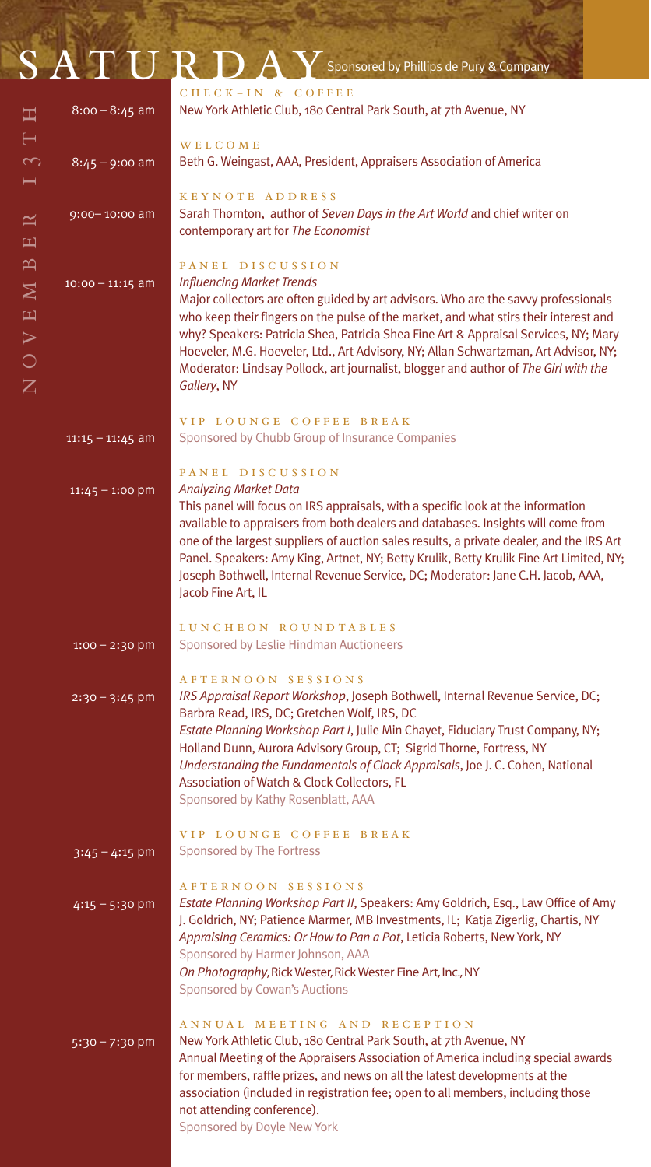13 TH

|                                                                                                                                                                                                                                                                                                                                                                                                                                                                                                                                                                                                                  | SATURDA            | Sponsored by Phillips de Pury & Company                                                                                                                                                                                                                                                                                                                                                                                                                                                                                  |  |  |
|------------------------------------------------------------------------------------------------------------------------------------------------------------------------------------------------------------------------------------------------------------------------------------------------------------------------------------------------------------------------------------------------------------------------------------------------------------------------------------------------------------------------------------------------------------------------------------------------------------------|--------------------|--------------------------------------------------------------------------------------------------------------------------------------------------------------------------------------------------------------------------------------------------------------------------------------------------------------------------------------------------------------------------------------------------------------------------------------------------------------------------------------------------------------------------|--|--|
| 耳                                                                                                                                                                                                                                                                                                                                                                                                                                                                                                                                                                                                                | $8:00 - 8:45$ am   | CHECK-IN & COFFEE<br>New York Athletic Club, 180 Central Park South, at 7th Avenue, NY                                                                                                                                                                                                                                                                                                                                                                                                                                   |  |  |
| $\vdash$<br>$\sim$                                                                                                                                                                                                                                                                                                                                                                                                                                                                                                                                                                                               | $8:45 - 9:00$ am   | <b>WELCOME</b><br>Beth G. Weingast, AAA, President, Appraisers Association of America                                                                                                                                                                                                                                                                                                                                                                                                                                    |  |  |
| $\approx$<br>$\mathbf{H}$                                                                                                                                                                                                                                                                                                                                                                                                                                                                                                                                                                                        | 9:00-10:00 am      | KEYNOTE ADDRESS<br>Sarah Thornton, author of Seven Days in the Art World and chief writer on<br>contemporary art for The Economist                                                                                                                                                                                                                                                                                                                                                                                       |  |  |
| $\mathbf{\Omega}$<br>$\mathbf{N}$<br>$\mathbf{H}$<br>$\blacktriangleright$<br>$\bigcirc$<br>$\mathsf{Z}% _{\mathcal{A}}\left( \mathcal{A}_{1}\right) \equiv\mathcal{A}_{2}^{\ast}\left( \mathcal{A}_{2}\right) \equiv\mathcal{A}_{1}\left( \mathcal{A}_{2}\right) \equiv\mathcal{A}_{2}^{\ast}\left( \mathcal{A}_{1}\right) \equiv\mathcal{A}_{1}\left( \mathcal{A}_{2}\right) \equiv\mathcal{A}_{2}^{\ast}\left( \mathcal{A}_{1}\right) \equiv\mathcal{A}_{1}\left( \mathcal{A}_{2}\right) \equiv\mathcal{A}_{2}^{\ast}\left( \mathcal{A}_{2}\right) \equiv\mathcal{A}_{1}\left( \mathcal{A}_{2}\right) \equiv$ | $10:00 - 11:15$ am | PANEL DISCUSSION<br><b>Influencing Market Trends</b><br>Major collectors are often guided by art advisors. Who are the savvy professionals<br>who keep their fingers on the pulse of the market, and what stirs their interest and<br>why? Speakers: Patricia Shea, Patricia Shea Fine Art & Appraisal Services, NY; Mary<br>Hoeveler, M.G. Hoeveler, Ltd., Art Advisory, NY; Allan Schwartzman, Art Advisor, NY;<br>Moderator: Lindsay Pollock, art journalist, blogger and author of The Girl with the<br>Gallery, NY  |  |  |
|                                                                                                                                                                                                                                                                                                                                                                                                                                                                                                                                                                                                                  | $11:15 - 11:45$ am | VIP LOUNGE COFFEE BREAK<br>Sponsored by Chubb Group of Insurance Companies                                                                                                                                                                                                                                                                                                                                                                                                                                               |  |  |
|                                                                                                                                                                                                                                                                                                                                                                                                                                                                                                                                                                                                                  | $11:45 - 1:00$ pm  | PANEL DISCUSSION<br><b>Analyzing Market Data</b><br>This panel will focus on IRS appraisals, with a specific look at the information<br>available to appraisers from both dealers and databases. Insights will come from<br>one of the largest suppliers of auction sales results, a private dealer, and the IRS Art<br>Panel. Speakers: Amy King, Artnet, NY; Betty Krulik, Betty Krulik Fine Art Limited, NY;<br>Joseph Bothwell, Internal Revenue Service, DC; Moderator: Jane C.H. Jacob, AAA,<br>Jacob Fine Art, IL |  |  |
| LUNCHEON ROUNDTABLES<br>Sponsored by Leslie Hindman Auctioneers<br>$1:00 - 2:30$ pm                                                                                                                                                                                                                                                                                                                                                                                                                                                                                                                              |                    |                                                                                                                                                                                                                                                                                                                                                                                                                                                                                                                          |  |  |
|                                                                                                                                                                                                                                                                                                                                                                                                                                                                                                                                                                                                                  | $2:30 - 3:45$ pm   | AFTERNOON SESSIONS<br>IRS Appraisal Report Workshop, Joseph Bothwell, Internal Revenue Service, DC;<br>Barbra Read, IRS, DC; Gretchen Wolf, IRS, DC<br>Estate Planning Workshop Part I, Julie Min Chayet, Fiduciary Trust Company, NY;<br>Holland Dunn, Aurora Advisory Group, CT; Sigrid Thorne, Fortress, NY<br>Understanding the Fundamentals of Clock Appraisals, Joe J. C. Cohen, National<br>Association of Watch & Clock Collectors, FL<br>Sponsored by Kathy Rosenblatt, AAA                                     |  |  |
| $3:45 - 4:15$ pm                                                                                                                                                                                                                                                                                                                                                                                                                                                                                                                                                                                                 |                    | VIP LOUNGE COFFEE BREAK<br>Sponsored by The Fortress                                                                                                                                                                                                                                                                                                                                                                                                                                                                     |  |  |
|                                                                                                                                                                                                                                                                                                                                                                                                                                                                                                                                                                                                                  | $4:15 - 5:30$ pm   | AFTERNOON SESSIONS<br>Estate Planning Workshop Part II, Speakers: Amy Goldrich, Esq., Law Office of Amy<br>J. Goldrich, NY; Patience Marmer, MB Investments, IL; Katja Zigerlig, Chartis, NY<br>Appraising Ceramics: Or How to Pan a Pot, Leticia Roberts, New York, NY<br>Sponsored by Harmer Johnson, AAA<br>On Photography, Rick Wester, Rick Wester Fine Art, Inc., NY<br><b>Sponsored by Cowan's Auctions</b>                                                                                                       |  |  |
|                                                                                                                                                                                                                                                                                                                                                                                                                                                                                                                                                                                                                  | $5:30 - 7:30$ pm   | ANNUAL MEETING AND RECEPTION<br>New York Athletic Club, 180 Central Park South, at 7th Avenue, NY<br>Annual Meeting of the Appraisers Association of America including special awards<br>for members, raffle prizes, and news on all the latest developments at the<br>association (included in registration fee; open to all members, including those<br>not attending conference).<br>Sponsored by Doyle New York                                                                                                      |  |  |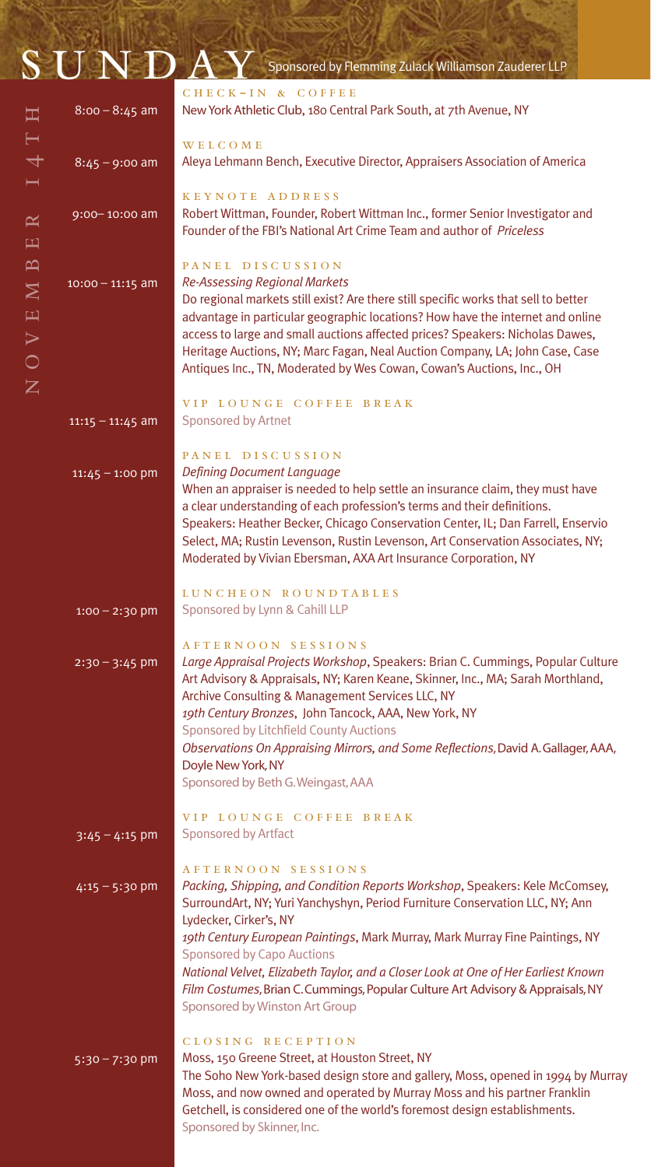|                                                              |                    | $\overline{\text{S U N D}}$ $\overline{\text{D A V}}$ Sponsored by Flemming Zulack Williamson Zauderer LLP                                                                                                                                                                                                                                                                                                                                                                  |
|--------------------------------------------------------------|--------------------|-----------------------------------------------------------------------------------------------------------------------------------------------------------------------------------------------------------------------------------------------------------------------------------------------------------------------------------------------------------------------------------------------------------------------------------------------------------------------------|
| 耳                                                            | $8:00 - 8:45$ am   | CHECK-IN & COFFEE<br>New York Athletic Club, 180 Central Park South, at 7th Avenue, NY                                                                                                                                                                                                                                                                                                                                                                                      |
| ━                                                            | $8:45 - 9:00$ am   | <b>WELCOME</b><br>Aleya Lehmann Bench, Executive Director, Appraisers Association of America                                                                                                                                                                                                                                                                                                                                                                                |
| $\approx$<br>凹                                               | 9:00-10:00 am      | KEYNOTE ADDRESS<br>Robert Wittman, Founder, Robert Wittman Inc., former Senior Investigator and<br>Founder of the FBI's National Art Crime Team and author of <i>Priceless</i>                                                                                                                                                                                                                                                                                              |
| $\mathbf{D}$<br>$\mathbf{M}$<br>$\equiv$<br>$\triangleright$ | $10:00 - 11:15$ am | PANEL DISCUSSION<br><b>Re-Assessing Regional Markets</b><br>Do regional markets still exist? Are there still specific works that sell to better<br>advantage in particular geographic locations? How have the internet and online<br>access to large and small auctions affected prices? Speakers: Nicholas Dawes,<br>Heritage Auctions, NY; Marc Fagan, Neal Auction Company, LA; John Case, Case<br>Antiques Inc., TN, Moderated by Wes Cowan, Cowan's Auctions, Inc., OH |
| $\overline{Z}$                                               | $11:15 - 11:45$ am | VIP LOUNGE COFFEE BREAK<br>Sponsored by Artnet                                                                                                                                                                                                                                                                                                                                                                                                                              |
|                                                              | $11:45 - 1:00$ pm  | PANEL DISCUSSION<br>Defining Document Language<br>When an appraiser is needed to help settle an insurance claim, they must have<br>a clear understanding of each profession's terms and their definitions.                                                                                                                                                                                                                                                                  |

Speakers: Heather Becker, Chicago Conservation Center, IL; Dan Farrell, Enservio Select, MA; Rustin Levenson, Rustin Levenson, Art Conservation Associates, NY; Moderated by Vivian Ebersman, AXA Art Insurance Corporation, NY

LUNCHEON ROUNDTABLES Sponsored by Lynn & Cahill LLP  $1:00 - 2:30$  pm

#### AFTERNOON SESSIONS

| $2:30 - 3:45$ pm | Large Appraisal Projects Workshop, Speakers: Brian C. Cummings, Popular Culture   |
|------------------|-----------------------------------------------------------------------------------|
|                  | Art Advisory & Appraisals, NY; Karen Keane, Skinner, Inc., MA; Sarah Morthland,   |
|                  | Archive Consulting & Management Services LLC, NY                                  |
|                  | 19th Century Bronzes, John Tancock, AAA, New York, NY                             |
|                  | Sponsored by Litchfield County Auctions                                           |
|                  | Observations On Appraising Mirrors, and Some Reflections, David A. Gallager, AAA, |
|                  | Doyle New York, NY                                                                |
|                  | Sponsored by Beth G. Weingast, AAA                                                |

VIP LOUNGE COFFEE BREAK Sponsored by Artfact  $3:45 - 4:15$  pm

 $4:15 - 5:30$  pm

AFTERNOON SESSIONS *Packing, Shipping, and Condition Reports Workshop*, Speakers: Kele McComsey, SurroundArt, NY; Yuri Yanchyshyn, Period Furniture Conservation LLC, NY; Ann Lydecker, Cirker's, NY *19th Century European Paintings*, Mark Murray, Mark Murray Fine Paintings, NY Sponsored by Capo Auctions *National Velvet, Elizabeth Taylor, and a Closer Look at One of Her Earliest Known Film Costumes*, Brian C. Cummings, Popular Culture Art Advisory & Appraisals, NY Sponsored by Winston Art Group CLOSING RECEPTION

Moss, 150 Greene Street, at Houston Street, NY The Soho New York-based design store and gallery, Moss, opened in 1994 by Murray Moss, and now owned and operated by Murray Moss and his partner Franklin Getchell, is considered one of the world's foremost design establishments. Sponsored by Skinner, Inc. 5:30 – 7:30 pm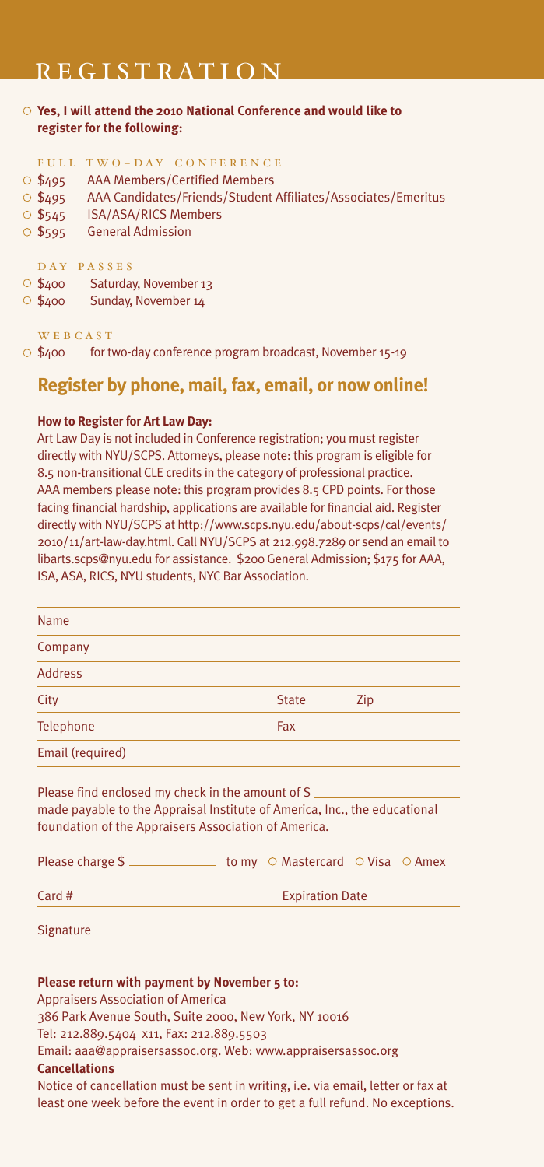#### **REGISTRATION**

**Yes, I will attend the 2010 National Conference and would like to register for the following:**

#### FULL TWO-DAY CONFERENCE

- O \$495 AAA Members/Certified Members
- \$495 AAA Candidates/Friends/Student Affiliates/Associates/Emeritus
- O \$545 ISA/ASA/RICS Members
- O \$595 General Admission

#### DAY PASSES

- \$400 Saturday, November 13
- \$400 Sunday, November 14

#### WEBCAST

 $\circ$  \$400 for two-day conference program broadcast, November 15-19

#### **Register by phone, mail, fax, email, or now online!**

#### **How to Register for Art Law Day:**

Art Law Day is not included in Conference registration; you must register directly with NYU/SCPS. Attorneys, please note: this program is eligible for 8.5 non-transitional CLE credits in the category of professional practice. AAA members please note: this program provides 8.5 CPD points. For those facing financial hardship, applications are available for financial aid. Register directly with NYU/SCPS at http://www.scps.nyu.edu/about-scps/cal/events/ 2010/11/art-law-day.html. Call NYU/SCPS at 212.998.7289 or send an email to libarts.scps@nyu.edu for assistance. \$200 General Admission; \$175 for AAA, ISA, ASA, RICS, NYU students, NYC Bar Association.

| Name                                                                                                                            |                        |                                                    |     |  |
|---------------------------------------------------------------------------------------------------------------------------------|------------------------|----------------------------------------------------|-----|--|
| Company                                                                                                                         |                        |                                                    |     |  |
| Address                                                                                                                         |                        |                                                    |     |  |
| City                                                                                                                            |                        | <b>State</b>                                       | Zip |  |
| Telephone                                                                                                                       |                        | Fax                                                |     |  |
| Email (required)                                                                                                                |                        |                                                    |     |  |
| Please find enclosed my check in the amount of $$$<br>made payable to the Appraisal Institute of America, Inc., the educational |                        |                                                    |     |  |
| foundation of the Appraisers Association of America.                                                                            |                        |                                                    |     |  |
| Please charge \$                                                                                                                |                        | to my $\circ$ Mastercard $\circ$ Visa $\circ$ Amex |     |  |
| Card $#$                                                                                                                        | <b>Expiration Date</b> |                                                    |     |  |

**Signature** 

#### **Please return with payment by November 5 to:**

Appraisers Association of America

386 Park Avenue South, Suite 2000, New York, NY 10016

Tel: 212.889.5404 x11, Fax: 212.889.5503

Email: aaa@appraisersassoc.org. Web: www.appraisersassoc.org

#### **Cancellations**

Notice of cancellation must be sent in writing, i.e. via email, letter or fax at least one week before the event in order to get a full refund. No exceptions.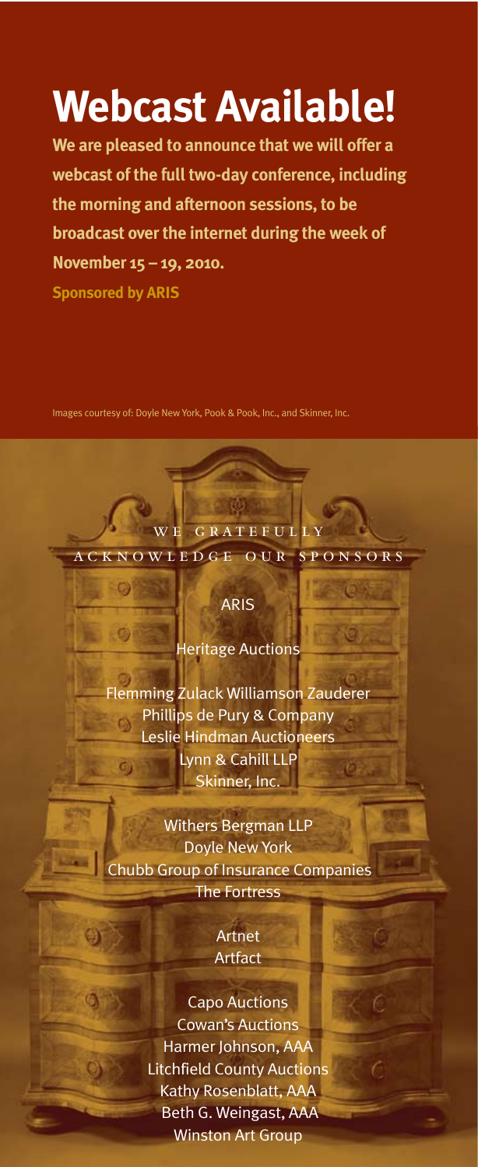## **Webcast Available!**

**We are pleased to announce that we will offer a webcast of the full two-day conference, including the morning and afternoon sessions, to be broadcast over the internet during the week of November 15 – 19, 2010.**

**Sponsored by ARIS**

0

 $\bigcirc$ 

**Line** 

G)

Images courtesy of: Doyle New York, Pook & Pook, Inc., and Skinner, Inc.

#### ARIS

WE GRATEFULLY ACKNOWLEDGE OUR SPONSORS

Heritage Auctions

Flemming Zulack Williamson Zauderer Phillips de Pury & Company Ō) Leslie Hindman Auctioneers Lynn & Cahill LLP G) Skinner, Inc.

Withers Bergman LLP Doyle New York Chubb Group of Insurance Companies The Fortress

> Artnet **Artfact**

> > 6

Capo Auctions Cowan's Auctions Harmer Johnson, AAA Litchfield County Auctions Kathy Rosenblatt, AAA Beth G. Weingast, AAA Winston Art Group